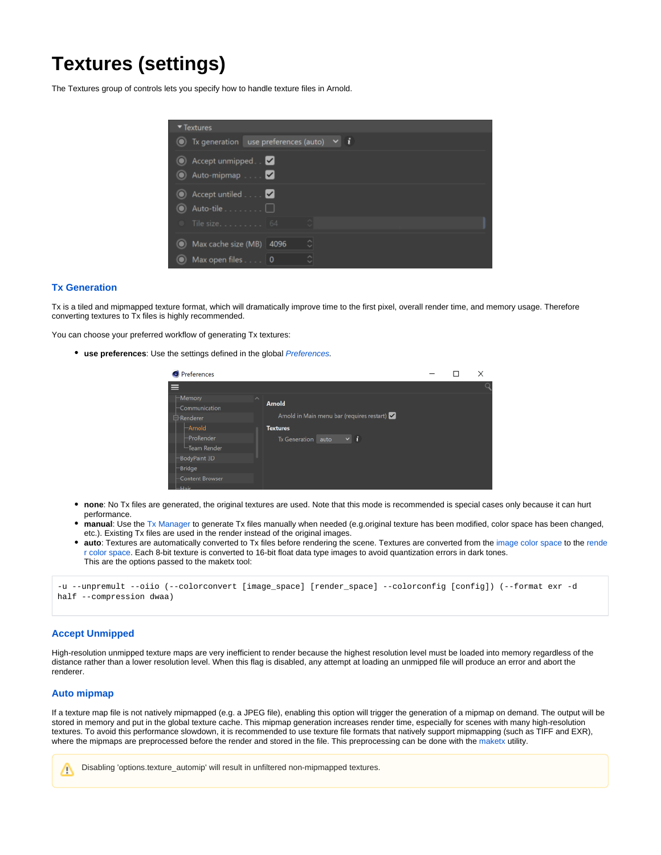# <span id="page-0-0"></span>**Textures (settings)**

The Textures group of controls lets you specify how to handle texture files in Arnold.

| ▼ Textures                                              |        |
|---------------------------------------------------------|--------|
| $\bullet$ Tx generation use preferences (auto) $\vee$ i |        |
| Accept unmipped. V<br>Auto-mipmap V                     |        |
| Accept untiled <b>2</b><br>$\bullet$ Auto-tile $\Box$   |        |
| Tile size 64                                            | $\sim$ |
| Max cache size (MB) 4096                                | Ó      |
| Max open files 0                                        |        |

## **[Tx Generation](#page-0-0)**

Tx is a tiled and mipmapped texture format, which will dramatically improve time to the first pixel, overall render time, and memory usage. Therefore converting textures to Tx files is highly recommended.

You can choose your preferred workflow of generating Tx textures:

**• use preferences:** Use the settings defined in the global *[Preferences](https://docs.arnoldrenderer.com/display/A5AFCUG/Preferences)*.

|   | <b>O</b> Preferences              |                     |                                            |  | × |
|---|-----------------------------------|---------------------|--------------------------------------------|--|---|
| ≡ |                                   |                     |                                            |  | Q |
|   | $\vdash$ Memory<br>-Communication | $\hat{\phantom{a}}$ | <b>Arnold</b>                              |  |   |
|   | <b>白</b> -Renderer                |                     | Arnold in Main menu bar (requires restart) |  |   |
|   | -Arnold                           |                     | <b>Textures</b>                            |  |   |
|   | ProRender                         |                     | $\vee$ i<br><b>Tx Generation</b><br>auto   |  |   |
|   | -Team Render                      |                     |                                            |  |   |
|   | BodyPaint 3D                      |                     |                                            |  |   |
|   | <b>Bridge</b>                     |                     |                                            |  |   |
|   | Content Browser                   |                     |                                            |  |   |
|   | <b>COLLECTION</b>                 |                     |                                            |  |   |

- **none**: No Tx files are generated, the original textures are used. Note that this mode is recommended is special cases only because it can hurt performance.
- **manual**: Use the [Tx Manager](https://docs.arnoldrenderer.com/pages/viewpage.action?pageId=39715145) to generate Tx files manually when needed (e.g.original texture has been modified, color space has been changed, etc.). Existing Tx files are used in the render instead of the original images.
- **auto**: Textures are automatically converted to Tx files before rendering the scene. Textures are converted from the [image color space](https://docs.arnoldrenderer.com/display/A5AFCUG/Image) to the [rende](https://docs.arnoldrenderer.com/display/A5AFCUG/Color+Manager+-+settings) [r color space.](https://docs.arnoldrenderer.com/display/A5AFCUG/Color+Manager+-+settings) Each 8-bit texture is converted to 16-bit float data type images to avoid quantization errors in dark tones. This are the options passed to the maketx tool:

```
-u --unpremult --oiio (--colorconvert [image_space] [render_space] --colorconfig [config]) (--format exr -d 
half --compression dwaa)
```
## **Accept Unmipped**

High-resolution unmipped texture maps are very inefficient to render because the highest resolution level must be loaded into memory regardless of the distance rather than a lower resolution level. When this flag is disabled, any attempt at loading an unmipped file will produce an error and abort the renderer.

## **Auto mipmap**

If a texture map file is not natively mipmapped (e.g. a JPEG file), enabling this option will trigger the generation of a mipmap on demand. The output will be stored in memory and put in the global texture cache. This mipmap generation increases render time, especially for scenes with many high-resolution textures. To avoid this performance slowdown, it is recommended to use texture file formats that natively support mipmapping (such as TIFF and EXR), where the mipmaps are preprocessed before the render and stored in the file. This preprocessing can be done with the [maketx](https://docs.arnoldrenderer.com/pages/viewpage.action?pageId=5180357) utility.



Disabling 'options.texture\_automip' will result in unfiltered non-mipmapped textures.